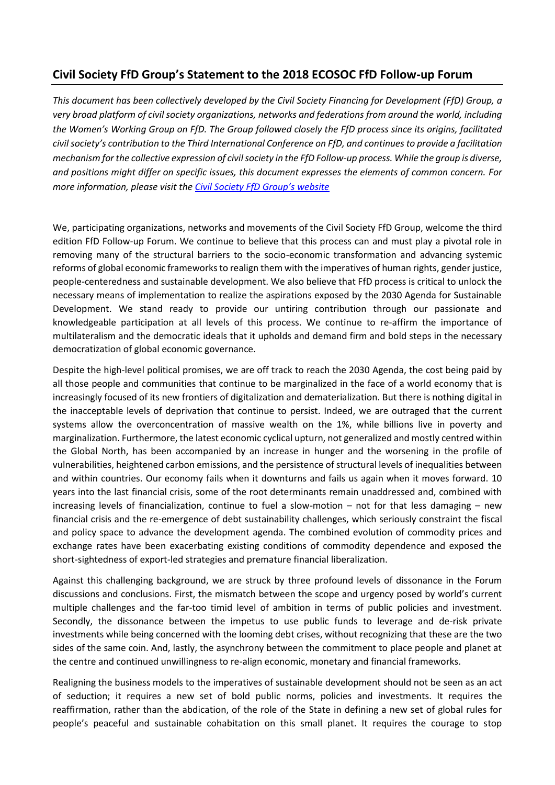## **Civil Society FfD Group's Statement to the 2018 ECOSOC FfD Follow-up Forum**

*This document has been collectively developed by the Civil Society Financing for Development (FfD) Group, a very broad platform of civil society organizations, networks and federations from around the world, including the Women's Working Group on FfD. The Group followed closely the FfD process since its origins, facilitated civil society's contribution to the Third International Conference on FfD, and continues to provide a facilitation mechanism for the collective expression of civil society in the FfD Follow-up process. While the group is diverse, and positions might differ on specific issues, this document expresses the elements of common concern. For more information, please visit the [Civil Society FfD Group's website](https://csoforffd.org/)*

We, participating organizations, networks and movements of the Civil Society FfD Group, welcome the third edition FfD Follow-up Forum. We continue to believe that this process can and must play a pivotal role in removing many of the structural barriers to the socio-economic transformation and advancing systemic reforms of global economic frameworks to realign them with the imperatives of human rights, gender justice, people-centeredness and sustainable development. We also believe that FfD process is critical to unlock the necessary means of implementation to realize the aspirations exposed by the 2030 Agenda for Sustainable Development. We stand ready to provide our untiring contribution through our passionate and knowledgeable participation at all levels of this process. We continue to re-affirm the importance of multilateralism and the democratic ideals that it upholds and demand firm and bold steps in the necessary democratization of global economic governance.

Despite the high-level political promises, we are off track to reach the 2030 Agenda, the cost being paid by all those people and communities that continue to be marginalized in the face of a world economy that is increasingly focused of its new frontiers of digitalization and dematerialization. But there is nothing digital in the inacceptable levels of deprivation that continue to persist. Indeed, we are outraged that the current systems allow the overconcentration of massive wealth on the 1%, while billions live in poverty and marginalization. Furthermore, the latest economic cyclical upturn, not generalized and mostly centred within the Global North, has been accompanied by an increase in hunger and the worsening in the profile of vulnerabilities, heightened carbon emissions, and the persistence of structural levels of inequalities between and within countries. Our economy fails when it downturns and fails us again when it moves forward. 10 years into the last financial crisis, some of the root determinants remain unaddressed and, combined with increasing levels of financialization, continue to fuel a slow-motion – not for that less damaging – new financial crisis and the re-emergence of debt sustainability challenges, which seriously constraint the fiscal and policy space to advance the development agenda. The combined evolution of commodity prices and exchange rates have been exacerbating existing conditions of commodity dependence and exposed the short-sightedness of export-led strategies and premature financial liberalization.

Against this challenging background, we are struck by three profound levels of dissonance in the Forum discussions and conclusions. First, the mismatch between the scope and urgency posed by world's current multiple challenges and the far-too timid level of ambition in terms of public policies and investment. Secondly, the dissonance between the impetus to use public funds to leverage and de-risk private investments while being concerned with the looming debt crises, without recognizing that these are the two sides of the same coin. And, lastly, the asynchrony between the commitment to place people and planet at the centre and continued unwillingness to re-align economic, monetary and financial frameworks.

Realigning the business models to the imperatives of sustainable development should not be seen as an act of seduction; it requires a new set of bold public norms, policies and investments. It requires the reaffirmation, rather than the abdication, of the role of the State in defining a new set of global rules for people's peaceful and sustainable cohabitation on this small planet. It requires the courage to stop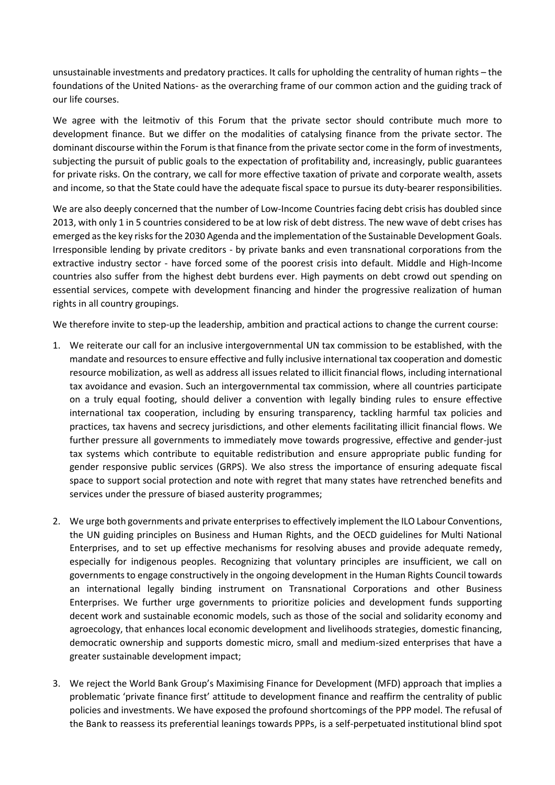unsustainable investments and predatory practices. It calls for upholding the centrality of human rights – the foundations of the United Nations- as the overarching frame of our common action and the guiding track of our life courses.

We agree with the leitmotiv of this Forum that the private sector should contribute much more to development finance. But we differ on the modalities of catalysing finance from the private sector. The dominant discourse within the Forum is that finance from the private sector come in the form of investments, subjecting the pursuit of public goals to the expectation of profitability and, increasingly, public guarantees for private risks. On the contrary, we call for more effective taxation of private and corporate wealth, assets and income, so that the State could have the adequate fiscal space to pursue its duty-bearer responsibilities.

We are also deeply concerned that the number of Low-Income Countries facing debt crisis has doubled since 2013, with only 1 in 5 countries considered to be at low risk of debt distress. The new wave of debt crises has emerged as the key risks for the 2030 Agenda and the implementation of the Sustainable Development Goals. Irresponsible lending by private creditors - by private banks and even transnational corporations from the extractive industry sector - have forced some of the poorest crisis into default. Middle and High-Income countries also suffer from the highest debt burdens ever. High payments on debt crowd out spending on essential services, compete with development financing and hinder the progressive realization of human rights in all country groupings.

We therefore invite to step-up the leadership, ambition and practical actions to change the current course:

- 1. We reiterate our call for an inclusive intergovernmental UN tax commission to be established, with the mandate and resources to ensure effective and fully inclusive international tax cooperation and domestic resource mobilization, as well as address all issues related to illicit financial flows, including international tax avoidance and evasion. Such an intergovernmental tax commission, where all countries participate on a truly equal footing, should deliver a convention with legally binding rules to ensure effective international tax cooperation, including by ensuring transparency, tackling harmful tax policies and practices, tax havens and secrecy jurisdictions, and other elements facilitating illicit financial flows. We further pressure all governments to immediately move towards progressive, effective and gender-just tax systems which contribute to equitable redistribution and ensure appropriate public funding for gender responsive public services (GRPS). We also stress the importance of ensuring adequate fiscal space to support social protection and note with regret that many states have retrenched benefits and services under the pressure of biased austerity programmes;
- 2. We urge both governments and private enterprises to effectively implement the ILO Labour Conventions, the UN guiding principles on Business and Human Rights, and the OECD guidelines for Multi National Enterprises, and to set up effective mechanisms for resolving abuses and provide adequate remedy, especially for indigenous peoples. Recognizing that voluntary principles are insufficient, we call on governments to engage constructively in the ongoing development in the Human Rights Council towards an international legally binding instrument on Transnational Corporations and other Business Enterprises. We further urge governments to prioritize policies and development funds supporting decent work and sustainable economic models, such as those of the social and solidarity economy and agroecology, that enhances local economic development and livelihoods strategies, domestic financing, democratic ownership and supports domestic micro, small and medium-sized enterprises that have a greater sustainable development impact;
- 3. We reject the World Bank Group's Maximising Finance for Development (MFD) approach that implies a problematic 'private finance first' attitude to development finance and reaffirm the centrality of public policies and investments. We have exposed the profound shortcomings of the PPP model. The refusal of the Bank to reassess its preferential leanings towards PPPs, is a self-perpetuated institutional blind spot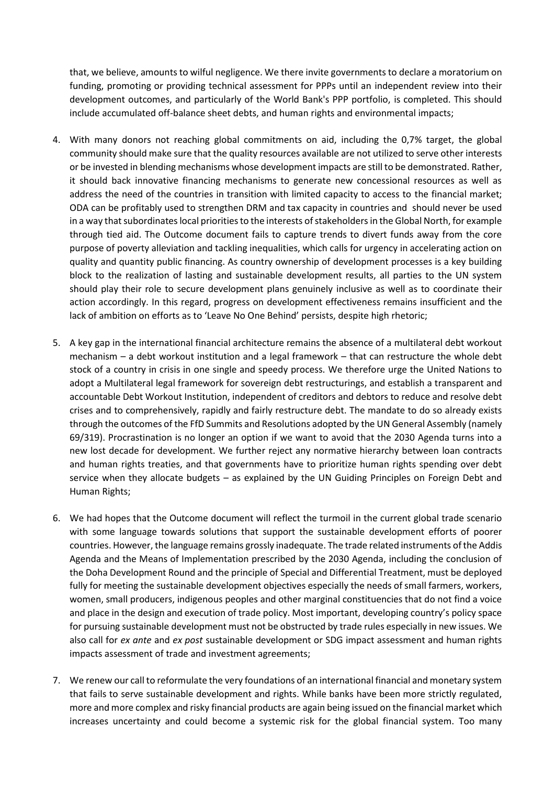that, we believe, amounts to wilful negligence. We there invite governments to declare a moratorium on funding, promoting or providing technical assessment for PPPs until an independent review into their development outcomes, and particularly of the World Bank's PPP portfolio, is completed. This should include accumulated off-balance sheet debts, and human rights and environmental impacts;

- 4. With many donors not reaching global commitments on aid, including the 0,7% target, the global community should make sure that the quality resources available are not utilized to serve other interests or be invested in blending mechanisms whose development impacts are still to be demonstrated. Rather, it should back innovative financing mechanisms to generate new concessional resources as well as address the need of the countries in transition with limited capacity to access to the financial market; ODA can be profitably used to strengthen DRM and tax capacity in countries and should never be used in a way that subordinates local priorities to the interests of stakeholders in the Global North, for example through tied aid. The Outcome document fails to capture trends to divert funds away from the core purpose of poverty alleviation and tackling inequalities, which calls for urgency in accelerating action on quality and quantity public financing. As country ownership of development processes is a key building block to the realization of lasting and sustainable development results, all parties to the UN system should play their role to secure development plans genuinely inclusive as well as to coordinate their action accordingly. In this regard, progress on development effectiveness remains insufficient and the lack of ambition on efforts as to 'Leave No One Behind' persists, despite high rhetoric;
- 5. A key gap in the international financial architecture remains the absence of a multilateral debt workout mechanism – a debt workout institution and a legal framework – that can restructure the whole debt stock of a country in crisis in one single and speedy process. We therefore urge the United Nations to adopt a Multilateral legal framework for sovereign debt restructurings, and establish a transparent and accountable Debt Workout Institution, independent of creditors and debtors to reduce and resolve debt crises and to comprehensively, rapidly and fairly restructure debt. The mandate to do so already exists through the outcomes of the FfD Summits and Resolutions adopted by the UN General Assembly (namely 69/319). Procrastination is no longer an option if we want to avoid that the 2030 Agenda turns into a new lost decade for development. We further reject any normative hierarchy between loan contracts and human rights treaties, and that governments have to prioritize human rights spending over debt service when they allocate budgets – as explained by the UN Guiding Principles on Foreign Debt and Human Rights;
- 6. We had hopes that the Outcome document will reflect the turmoil in the current global trade scenario with some language towards solutions that support the sustainable development efforts of poorer countries. However, the language remains grossly inadequate. The trade related instruments of the Addis Agenda and the Means of Implementation prescribed by the 2030 Agenda, including the conclusion of the Doha Development Round and the principle of Special and Differential Treatment, must be deployed fully for meeting the sustainable development objectives especially the needs of small farmers, workers, women, small producers, indigenous peoples and other marginal constituencies that do not find a voice and place in the design and execution of trade policy. Most important, developing country's policy space for pursuing sustainable development must not be obstructed by trade rules especially in new issues. We also call for *ex ante* and *ex post* sustainable development or SDG impact assessment and human rights impacts assessment of trade and investment agreements;
- 7. We renew our call to reformulate the very foundations of an international financial and monetary system that fails to serve sustainable development and rights. While banks have been more strictly regulated, more and more complex and risky financial products are again being issued on the financial market which increases uncertainty and could become a systemic risk for the global financial system. Too many